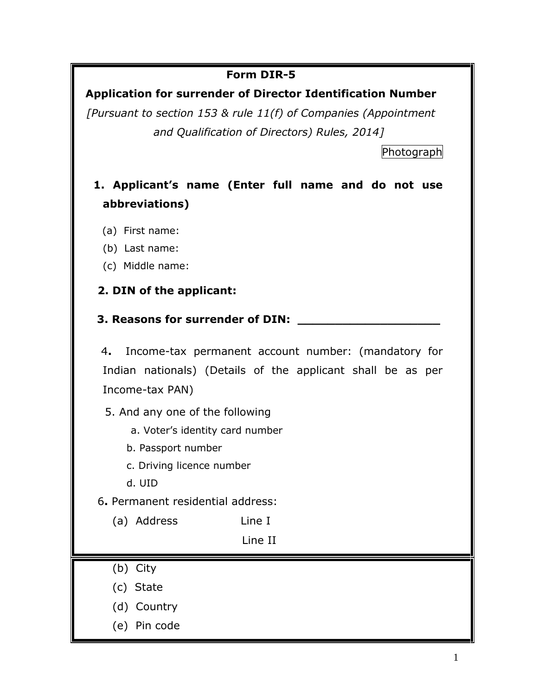### **Form DIR-5**

## **Application for surrender of Director Identification Number**

*[Pursuant to section 153 & rule 11(f) of Companies (Appointment and Qualification of Directors) Rules, 2014]*

Photograph

- **1. Applicant's name (Enter full name and do not use abbreviations)**
	- (a) First name:
	- (b) Last name:
	- (c) Middle name:

## **2. DIN of the applicant:**

#### **3. Reasons for surrender of DIN:**

 4**.** Income-tax permanent account number: (mandatory for Indian nationals) (Details of the applicant shall be as per Income-tax PAN)

5. And any one of the following

a. Voter's identity card number

b. Passport number

c. Driving licence number

d. UID

6**.** Permanent residential address:

(a) Address Line I

Line II

- (b) City
- (c) State
- (d) Country
- (e) Pin code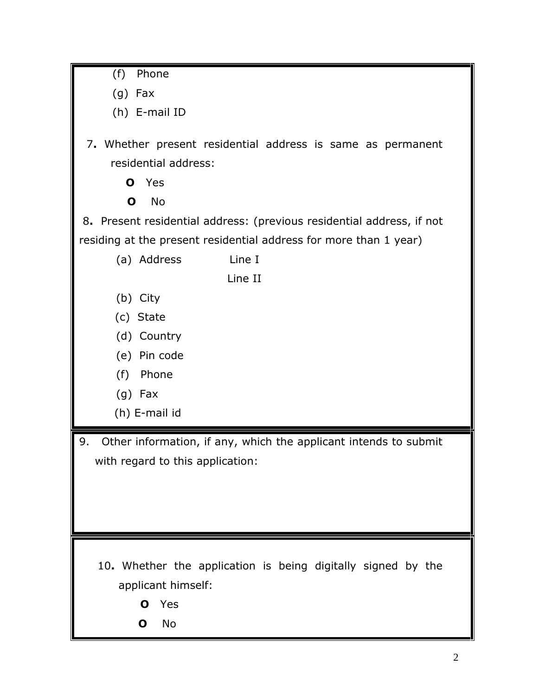- (f) Phone
- (g) Fax
- (h) E-mail ID
- 7**.** Whether present residential address is same as permanent residential address:
	- **O** Yes
	- **O** No

8**.** Present residential address: (previous residential address, if not residing at the present residential address for more than 1 year)

(a) Address Line I

Line II

- (b) City
- (c) State
- (d) Country
- (e) Pin code
- (f) Phone
- (g) Fax
- (h) E-mail id

9. Other information, if any, which the applicant intends to submit with regard to this application:

- 10**.** Whether the application is being digitally signed by the applicant himself:
	- **O** Yes
	- **O** No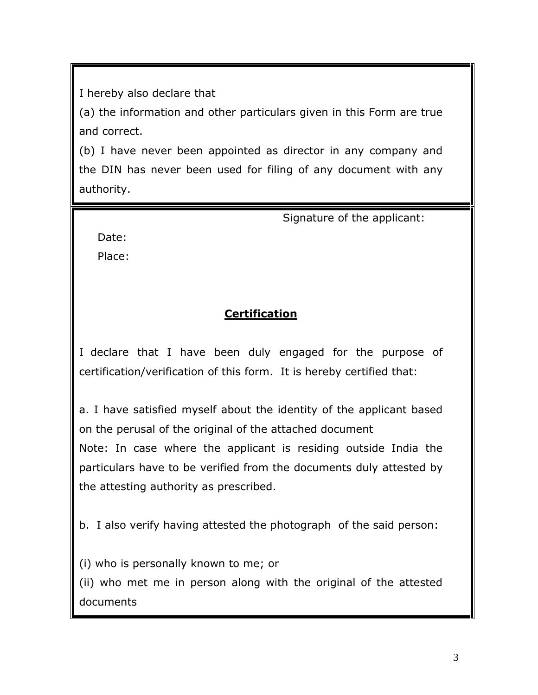I hereby also declare that

(a) the information and other particulars given in this Form are true and correct.

(b) I have never been appointed as director in any company and the DIN has never been used for filing of any document with any authority.

Signature of the applicant:

Date:

Place:

# **Certification**

I declare that I have been duly engaged for the purpose of certification/verification of this form. It is hereby certified that:

a. I have satisfied myself about the identity of the applicant based on the perusal of the original of the attached document Note: In case where the applicant is residing outside India the particulars have to be verified from the documents duly attested by the attesting authority as prescribed.

b. I also verify having attested the photograph of the said person:

(i) who is personally known to me; or

(ii) who met me in person along with the original of the attested documents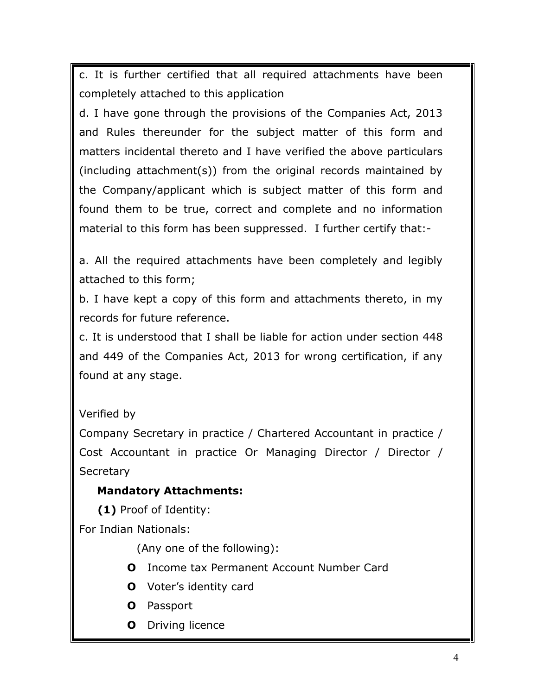c. It is further certified that all required attachments have been completely attached to this application

d. I have gone through the provisions of the Companies Act, 2013 and Rules thereunder for the subject matter of this form and matters incidental thereto and I have verified the above particulars (including attachment(s)) from the original records maintained by the Company/applicant which is subject matter of this form and found them to be true, correct and complete and no information material to this form has been suppressed. I further certify that:-

a. All the required attachments have been completely and legibly attached to this form;

b. I have kept a copy of this form and attachments thereto, in my records for future reference.

c. It is understood that I shall be liable for action under section 448 and 449 of the Companies Act, 2013 for wrong certification, if any found at any stage.

#### Verified by

Company Secretary in practice / Chartered Accountant in practice / Cost Accountant in practice Or Managing Director / Director / **Secretary** 

#### **Mandatory Attachments:**

**(1)** Proof of Identity:

For Indian Nationals:

(Any one of the following):

- **O** Income tax Permanent Account Number Card
- **O** Voter's identity card
- **O** Passport
- **O** Driving licence